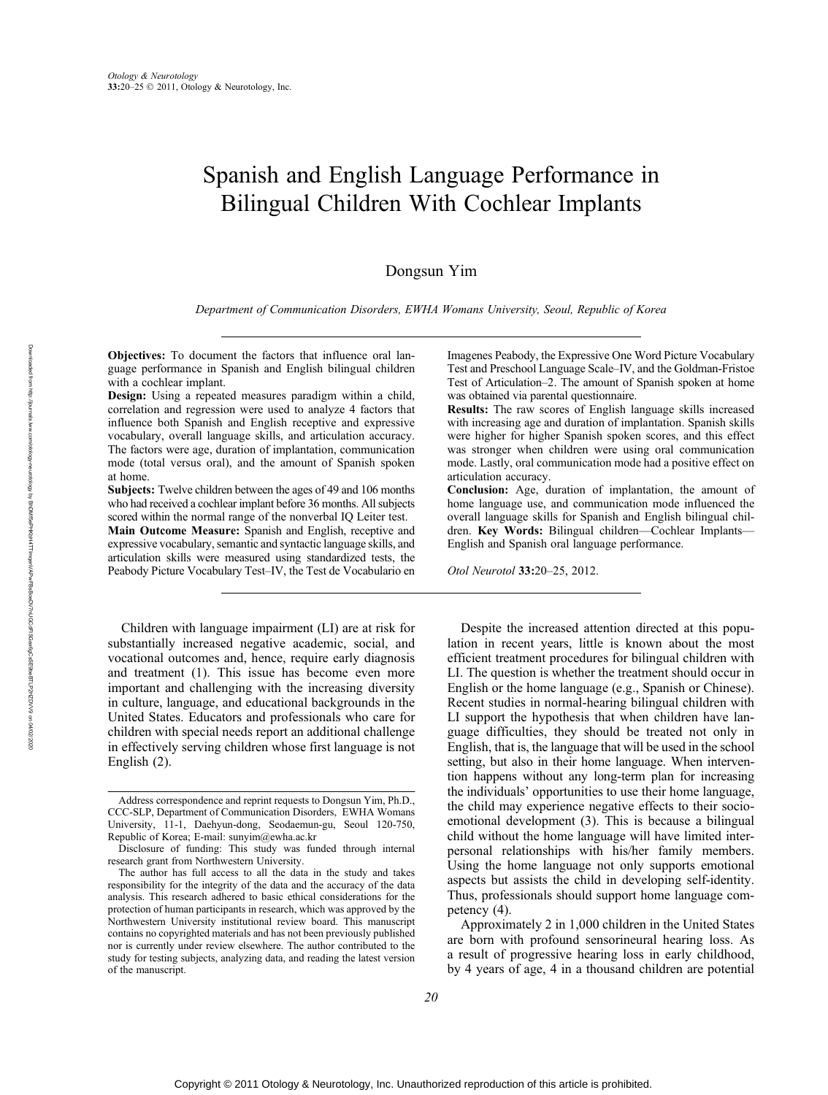# Spanish and English Language Performance in Bilingual Children With Cochlear Implants

# Dongsun Yim

Department of Communication Disorders, EWHA Womans University, Seoul, Republic of Korea

Objectives: To document the factors that influence oral language performance in Spanish and English bilingual children with a cochlear implant.

Design: Using a repeated measures paradigm within a child, correlation and regression were used to analyze 4 factors that influence both Spanish and English receptive and expressive vocabulary, overall language skills, and articulation accuracy. The factors were age, duration of implantation, communication mode (total versus oral), and the amount of Spanish spoken at home.

Subjects: Twelve children between the ages of 49 and 106 months who had received a cochlear implant before 36 months. All subjects scored within the normal range of the nonverbal IQ Leiter test.

Main Outcome Measure: Spanish and English, receptive and expressive vocabulary, semantic and syntactic language skills, and articulation skills were measured using standardized tests, the Peabody Picture Vocabulary Test-IV, the Test de Vocabulario en

Children with language impairment (LI) are at risk for substantially increased negative academic, social, and vocational outcomes and, hence, require early diagnosis and treatment (1). This issue has become even more important and challenging with the increasing diversity in culture, language, and educational backgrounds in the United States. Educators and professionals who care for children with special needs report an additional challenge in effectively serving children whose first language is not English (2).

Imagenes Peabody, the Expressive One Word Picture Vocabulary Test and Preschool Language Scale–IV, and the Goldman-Fristoe Test of Articulation-2. The amount of Spanish spoken at home was obtained via parental questionnaire.

Results: The raw scores of English language skills increased with increasing age and duration of implantation. Spanish skills were higher for higher Spanish spoken scores, and this effect was stronger when children were using oral communication mode. Lastly, oral communication mode had a positive effect on articulation accuracy.

Conclusion: Age, duration of implantation, the amount of home language use, and communication mode influenced the overall language skills for Spanish and English bilingual children. Key Words: Bilingual children-Cochlear Implants-English and Spanish oral language performance.

Otol Neurotol 33:20-25, 2012.

Despite the increased attention directed at this population in recent years, little is known about the most efficient treatment procedures for bilingual children with LI. The question is whether the treatment should occur in English or the home language (e.g., Spanish or Chinese). Recent studies in normal-hearing bilingual children with LI support the hypothesis that when children have language difficulties, they should be treated not only in English, that is, the language that will be used in the school setting, but also in their home language. When intervention happens without any long-term plan for increasing the individuals' opportunities to use their home language, the child may experience negative effects to their socioemotional development (3). This is because a bilingual child without the home language will have limited interpersonal relationships with his/her family members. Using the home language not only supports emotional aspects but assists the child in developing self-identity. Thus, professionals should support home language competency (4).

Approximately 2 in 1,000 children in the United States are born with profound sensorineural hearing loss. As a result of progressive hearing loss in early childhood, by 4 years of age, 4 in a thousand children are potential

Address correspondence and reprint requests to Dongsun Yim, Ph.D., CCC<SLP, Department of Communication Disorders, EWHA Womans University, 11-1, Daehyun-dong, Seodaemun-gu, Seoul 120-750, Republic of Korea; E-mail: sunyim@ewha.ac.kr

Disclosure of funding: This study was funded through internal research grant from Northwestern University.

The author has full access to all the data in the study and takes responsibility for the integrity of the data and the accuracy of the data analysis. This research adhered to basic ethical considerations for the protection of human participants in research, which was approved by the Northwestern University institutional review board. This manuscript contains no copyrighted materials and has not been previously published nor is currently under review elsewhere. The author contributed to the study for testing subjects, analyzing data, and reading the latest version of the manuscript.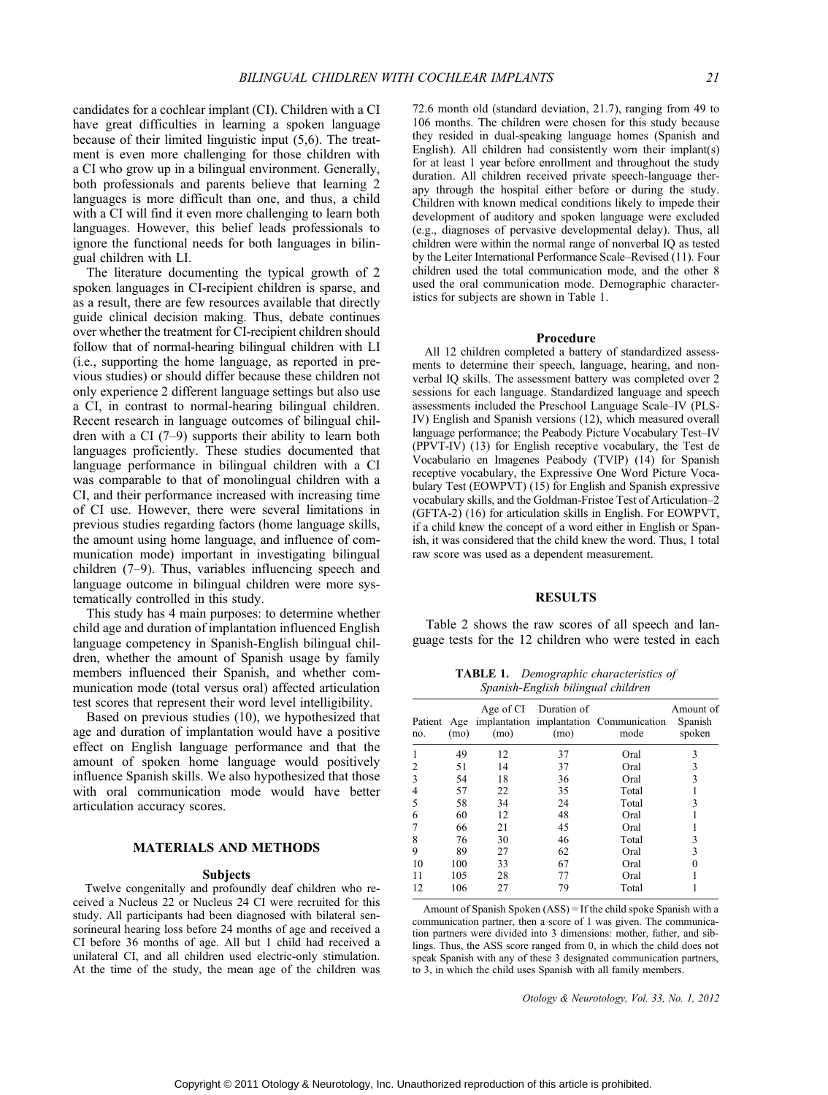candidates for a cochlear implant (CI). Children with a CI have great difficulties in learning a spoken language because of their limited linguistic input (5,6). The treatment is even more challenging for those children with a CI who grow up in a bilingual environment. Generally, both professionals and parents believe that learning 2 languages is more difficult than one, and thus, a child with a CI will find it even more challenging to learn both languages. However, this belief leads professionals to ignore the functional needs for both languages in bilingual children with LI.

The literature documenting the typical growth of 2 spoken languages in CI-recipient children is sparse, and as a result, there are few resources available that directly guide clinical decision making. Thus, debate continues over whether the treatment for CI-recipient children should follow that of normal-hearing bilingual children with LI (i.e., supporting the home language, as reported in previous studies) or should differ because these children not only experience 2 different language settings but also use a CI, in contrast to normal-hearing bilingual children. Recent research in language outcomes of bilingual children with a CI  $(7-9)$  supports their ability to learn both languages proficiently. These studies documented that language performance in bilingual children with a CI was comparable to that of monolingual children with a CI, and their performance increased with increasing time of CI use. However, there were several limitations in previous studies regarding factors (home language skills, the amount using home language, and influence of communication mode) important in investigating bilingual children  $(7-9)$ . Thus, variables influencing speech and language outcome in bilingual children were more systematically controlled in this study.

This study has 4 main purposes: to determine whether child age and duration of implantation influenced English language competency in Spanish-English bilingual children, whether the amount of Spanish usage by family members influenced their Spanish, and whether communication mode (total versus oral) affected articulation test scores that represent their word level intelligibility.

Based on previous studies (10), we hypothesized that age and duration of implantation would have a positive effect on English language performance and that the amount of spoken home language would positively influence Spanish skills. We also hypothesized that those with oral communication mode would have better articulation accuracy scores.

# MATERIALS AND METHODS

#### Subjects

Twelve congenitally and profoundly deaf children who received a Nucleus 22 or Nucleus 24 CI were recruited for this study. All participants had been diagnosed with bilateral sensorineural hearing loss before 24 months of age and received a CI before 36 months of age. All but 1 child had received a unilateral CI, and all children used electric-only stimulation. At the time of the study, the mean age of the children was

72.6 month old (standard deviation, 21.7), ranging from 49 to 106 months. The children were chosen for this study because they resided in dual-speaking language homes (Spanish and English). All children had consistently worn their implant(s) for at least 1 year before enrollment and throughout the study duration. All children received private speech-language therapy through the hospital either before or during the study. Children with known medical conditions likely to impede their development of auditory and spoken language were excluded (e.g., diagnoses of pervasive developmental delay). Thus, all children were within the normal range of nonverbal IQ as tested by the Leiter International Performance Scale-Revised (11). Four children used the total communication mode, and the other 8 used the oral communication mode. Demographic characteristics for subjects are shown in Table 1.

## Procedure

All 12 children completed a battery of standardized assessments to determine their speech, language, hearing, and nonverbal IQ skills. The assessment battery was completed over 2 sessions for each language. Standardized language and speech assessments included the Preschool Language Scale-IV (PLS-IV) English and Spanish versions (12), which measured overall language performance; the Peabody Picture Vocabulary Test-IV (PPVT-IV) (13) for English receptive vocabulary, the Test de Vocabulario en Imagenes Peabody (TVIP) (14) for Spanish receptive vocabulary, the Expressive One Word Picture Vocabulary Test (EOWPVT) (15) for English and Spanish expressive vocabulary skills, and the Goldman-Fristoe Test of Articulation-2 (GFTA-2) (16) for articulation skills in English. For EOWPVT, if a child knew the concept of a word either in English or Spanish, it was considered that the child knew the word. Thus, 1 total raw score was used as a dependent measurement.

#### RESULTS

Table 2 shows the raw scores of all speech and language tests for the 12 children who were tested in each

TABLE 1. Demographic characteristics of Spanish-English bilingual children

| Patient Age<br>no. | (mo) | (mo) | Age of CI Duration of<br>(mo) | implantation implantation Communication<br>mode | Amount of<br>Spanish<br>spoken |
|--------------------|------|------|-------------------------------|-------------------------------------------------|--------------------------------|
|                    | 49   | 12   | 37                            | Oral                                            | 3                              |
|                    | 51   | 14   | 37                            | Oral                                            | 3                              |
| 3                  | 54   | 18   | 36                            | Oral                                            | 3                              |
| 4                  | 57   | 22   | 35                            | Total                                           |                                |
| 5                  | 58   | 34   | 24                            | Total                                           | 3                              |
| 6                  | 60   | 12   | 48                            | Oral                                            |                                |
|                    | 66   | 21   | 45                            | Oral                                            |                                |
| 8                  | 76   | 30   | 46                            | Total                                           | 3                              |
| 9                  | 89   | 27   | 62                            | Oral                                            | 3                              |
| 10                 | 100  | 33   | 67                            | Oral                                            |                                |
| 11                 | 105  | 28   | 77                            | Oral                                            |                                |
| 12                 | 106  | 27   | 79                            | Total                                           |                                |
|                    |      |      |                               |                                                 |                                |

Amount of Spanish Spoken (ASS) = If the child spoke Spanish with a communication partner, then a score of 1 was given. The communication partners were divided into 3 dimensions: mother, father, and siblings. Thus, the ASS score ranged from 0, in which the child does not speak Spanish with any of these 3 designated communication partners, to 3, in which the child uses Spanish with all family members.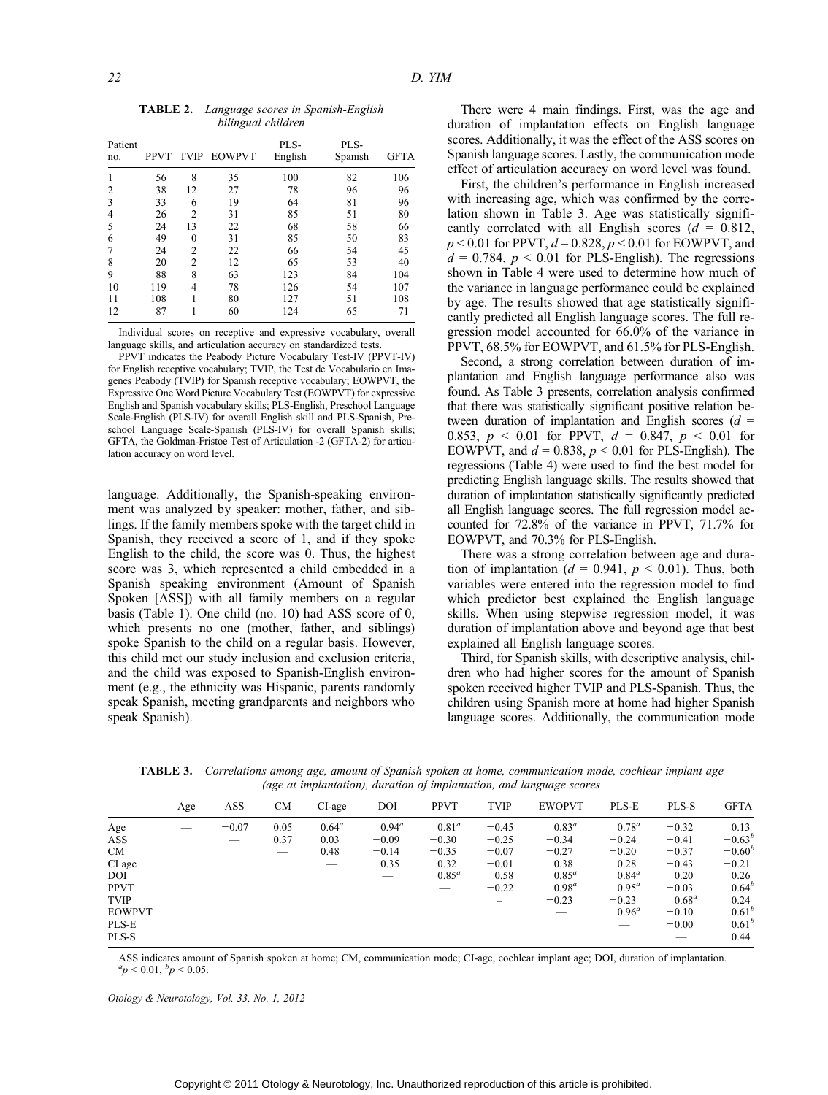TABLE 2. Language scores in Spanish-English bilingual children

| Patient<br>no. | <b>PPVT</b> |                | TVIP EOWPVT | PLS-<br>English | PLS-<br>Spanish | <b>GFTA</b> |
|----------------|-------------|----------------|-------------|-----------------|-----------------|-------------|
|                | 56          | 8              | 35          | 100             | 82              | 106         |
| 2              | 38          | 12             | 27          | 78              | 96              | 96          |
| 3              | 33          | 6              | 19          | 64              | 81              | 96          |
| 4              | 26          | $\overline{c}$ | 31          | 85              | 51              | 80          |
| 5              | 24          | 13             | 22          | 68              | 58              | 66          |
| 6              | 49          | 0              | 31          | 85              | 50              | 83          |
|                | 24          | $\overline{c}$ | 22          | 66              | 54              | 45          |
| 8              | 20          | $\overline{c}$ | 12          | 65              | 53              | 40          |
| 9              | 88          | 8              | 63          | 123             | 84              | 104         |
| 10             | 119         | 4              | 78          | 126             | 54              | 107         |
| 11             | 108         |                | 80          | 127             | 51              | 108         |
| 12             | 87          |                | 60          | 124             | 65              | 71          |

Individual scores on receptive and expressive vocabulary, overall language skills, and articulation accuracy on standardized tests.

PPVT indicates the Peabody Picture Vocabulary Test-IV (PPVT-IV) for English receptive vocabulary; TVIP, the Test de Vocabulario en Imagenes Peabody (TVIP) for Spanish receptive vocabulary; EOWPVT, the Expressive One Word Picture Vocabulary Test (EOWPVT) for expressive English and Spanish vocabulary skills; PLS-English, Preschool Language Scale-English (PLS-IV) for overall English skill and PLS-Spanish, Preschool Language Scale-Spanish (PLS-IV) for overall Spanish skills; GFTA, the Goldman-Fristoe Test of Articulation -2 (GFTA-2) for articulation accuracy on word level.

language. Additionally, the Spanish-speaking environment was analyzed by speaker: mother, father, and siblings. If the family members spoke with the target child in Spanish, they received a score of 1, and if they spoke English to the child, the score was 0. Thus, the highest score was 3, which represented a child embedded in a Spanish speaking environment (Amount of Spanish Spoken [ASS]) with all family members on a regular basis (Table 1). One child (no. 10) had ASS score of 0, which presents no one (mother, father, and siblings) spoke Spanish to the child on a regular basis. However, this child met our study inclusion and exclusion criteria, and the child was exposed to Spanish-English environment (e.g., the ethnicity was Hispanic, parents randomly speak Spanish, meeting grandparents and neighbors who speak Spanish).

There were 4 main findings. First, was the age and duration of implantation effects on English language scores. Additionally, it was the effect of the ASS scores on Spanish language scores. Lastly, the communication mode effect of articulation accuracy on word level was found.

First, the children's performance in English increased with increasing age, which was confirmed by the correlation shown in Table 3. Age was statistically significantly correlated with all English scores ( $d = 0.812$ ,  $p < 0.01$  for PPVT,  $d = 0.828$ ,  $p < 0.01$  for EOWPVT, and  $d = 0.784$ ,  $p < 0.01$  for PLS-English). The regressions shown in Table 4 were used to determine how much of the variance in language performance could be explained by age. The results showed that age statistically significantly predicted all English language scores. The full regression model accounted for 66.0% of the variance in PPVT, 68.5% for EOWPVT, and 61.5% for PLS-English.

Second, a strong correlation between duration of implantation and English language performance also was found. As Table 3 presents, correlation analysis confirmed that there was statistically significant positive relation between duration of implantation and English scores ( $d =$ 0.853,  $p \le 0.01$  for PPVT,  $d = 0.847$ ,  $p \le 0.01$  for EOWPVT, and  $d = 0.838$ ,  $p < 0.01$  for PLS-English). The regressions (Table 4) were used to find the best model for predicting English language skills. The results showed that duration of implantation statistically significantly predicted all English language scores. The full regression model accounted for 72.8% of the variance in PPVT, 71.7% for EOWPVT, and 70.3% for PLS-English.

There was a strong correlation between age and duration of implantation ( $d = 0.941$ ,  $p < 0.01$ ). Thus, both variables were entered into the regression model to find which predictor best explained the English language skills. When using stepwise regression model, it was duration of implantation above and beyond age that best explained all English language scores.

Third, for Spanish skills, with descriptive analysis, children who had higher scores for the amount of Spanish spoken received higher TVIP and PLS-Spanish. Thus, the children using Spanish more at home had higher Spanish language scores. Additionally, the communication mode

TABLE 3. Correlations among age, amount of Spanish spoken at home, communication mode, cochlear implant age (age at implantation), duration of implantation, and language scores

|               | Age | ASS     | <b>CM</b> | CI-age   | DOI      | <b>PPVT</b> | <b>TVIP</b>     | <b>EWOPVT</b> | PLS-E    | PLS-S    | <b>GFTA</b> |
|---------------|-----|---------|-----------|----------|----------|-------------|-----------------|---------------|----------|----------|-------------|
| Age           |     | $-0.07$ | 0.05      | $0.64^a$ | $0.94^a$ | $0.81^a$    | $-0.45$         | $0.83^a$      | $0.78^a$ | $-0.32$  | 0.13        |
| ASS           |     | _       | 0.37      | 0.03     | $-0.09$  | $-0.30$     | $-0.25$         | $-0.34$       | $-0.24$  | $-0.41$  | $-0.63^{b}$ |
| <b>CM</b>     |     |         | _         | 0.48     | $-0.14$  | $-0.35$     | $-0.07$         | $-0.27$       | $-0.20$  | $-0.37$  | $-0.60^{b}$ |
| CI age        |     |         |           | _        | 0.35     | 0.32        | $-0.01$         | 0.38          | 0.28     | $-0.43$  | $-0.21$     |
| DOI           |     |         |           |          |          | $0.85^a$    | $-0.58$         | $0.85^a$      | $0.84^a$ | $-0.20$  | 0.26        |
| <b>PPVT</b>   |     |         |           |          |          | _           | $-0.22$         | $0.98^a$      | $0.95^a$ | $-0.03$  | $0.64^{b}$  |
| <b>TVIP</b>   |     |         |           |          |          |             | $\qquad \qquad$ | $-0.23$       | $-0.23$  | $0.68^a$ | 0.24        |
| <b>EOWPVT</b> |     |         |           |          |          |             |                 |               | $0.96^a$ | $-0.10$  | $0.61^{b}$  |
| PLS-E         |     |         |           |          |          |             |                 |               |          | $-0.00$  | $0.61^{b}$  |
| PLS-S         |     |         |           |          |          |             |                 |               |          |          | 0.44        |

ASS indicates amount of Spanish spoken at home; CM, communication mode; CI-age, cochlear implant age; DOI, duration of implantation.  ${}^{a}p$  < 0.01,  ${}^{b}p$  < 0.05.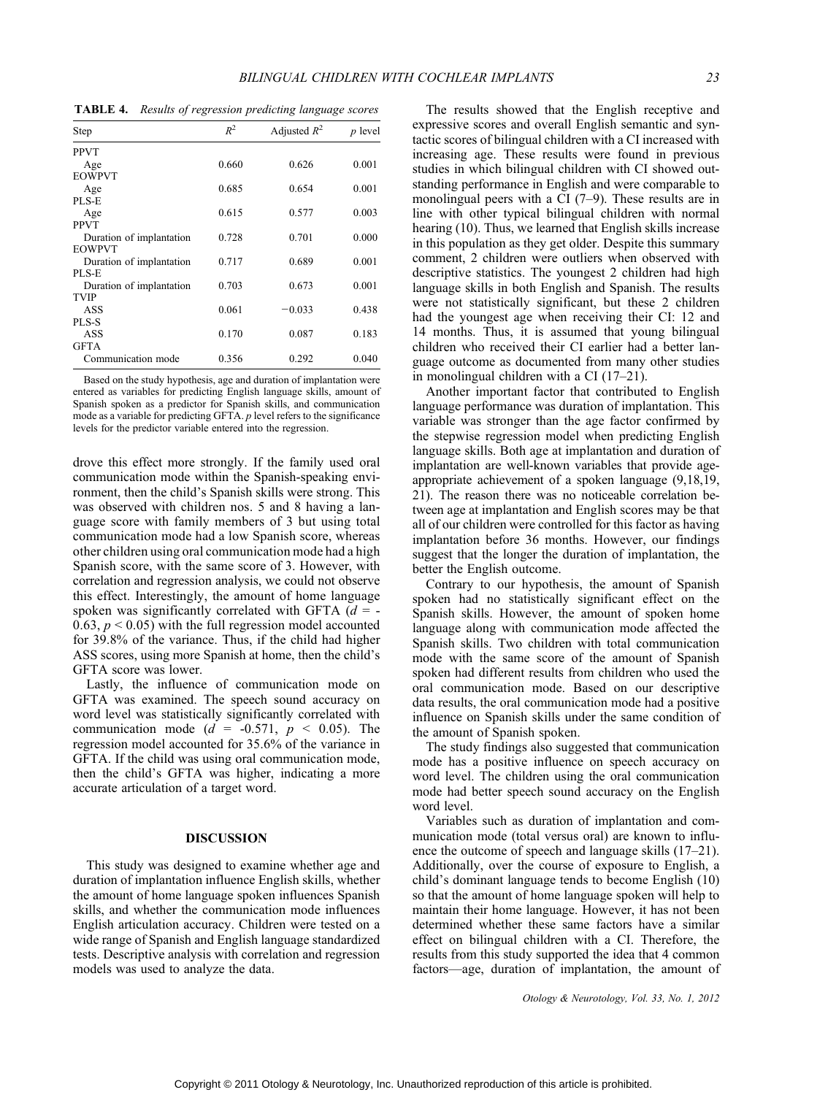TABLE 4. Results of regression predicting language scores

| Step                     | $R^2$ | Adjusted $R^2$ | $p$ level |
|--------------------------|-------|----------------|-----------|
| PPVT                     |       |                |           |
| Age                      | 0.660 | 0.626          | 0.001     |
| <b>EOWPVT</b>            |       |                |           |
| Age                      | 0.685 | 0.654          | 0.001     |
| PLS-E                    |       |                |           |
| Age                      | 0.615 | 0.577          | 0.003     |
| <b>PPVT</b>              |       |                |           |
| Duration of implantation | 0.728 | 0.701          | 0.000     |
| <b>EOWPVT</b>            |       |                |           |
| Duration of implantation | 0.717 | 0.689          | 0.001     |
| PLS-E                    |       |                |           |
| Duration of implantation | 0.703 | 0.673          | 0.001     |
| <b>TVIP</b>              |       |                |           |
| ASS                      | 0.061 | $-0.033$       | 0.438     |
| PLS-S                    |       |                |           |
| ASS                      | 0.170 | 0.087          | 0.183     |
| <b>GFTA</b>              |       |                |           |
| Communication mode       | 0.356 | 0.292          | 0.040     |

Based on the study hypothesis, age and duration of implantation were entered as variables for predicting English language skills, amount of Spanish spoken as a predictor for Spanish skills, and communication mode as a variable for predicting GFTA. p level refers to the significance levels for the predictor variable entered into the regression.

drove this effect more strongly. If the family used oral communication mode within the Spanish-speaking environment, then the child's Spanish skills were strong. This was observed with children nos. 5 and 8 having a language score with family members of 3 but using total communication mode had a low Spanish score, whereas other children using oral communication mode had a high Spanish score, with the same score of 3. However, with correlation and regression analysis, we could not observe this effect. Interestingly, the amount of home language spoken was significantly correlated with GFTA  $(d = -$ 0.63,  $p < 0.05$ ) with the full regression model accounted for 39.8% of the variance. Thus, if the child had higher ASS scores, using more Spanish at home, then the child's GFTA score was lower.

Lastly, the influence of communication mode on GFTA was examined. The speech sound accuracy on word level was statistically significantly correlated with communication mode ( $d = -0.571$ ,  $p < 0.05$ ). The regression model accounted for 35.6% of the variance in GFTA. If the child was using oral communication mode, then the child's GFTA was higher, indicating a more accurate articulation of a target word.

## DISCUSSION

This study was designed to examine whether age and duration of implantation influence English skills, whether the amount of home language spoken influences Spanish skills, and whether the communication mode influences English articulation accuracy. Children were tested on a wide range of Spanish and English language standardized tests. Descriptive analysis with correlation and regression models was used to analyze the data.

The results showed that the English receptive and expressive scores and overall English semantic and syntactic scores of bilingual children with a CI increased with increasing age. These results were found in previous studies in which bilingual children with CI showed outstanding performance in English and were comparable to monolingual peers with a CI  $(7-9)$ . These results are in line with other typical bilingual children with normal hearing (10). Thus, we learned that English skills increase in this population as they get older. Despite this summary comment, 2 children were outliers when observed with descriptive statistics. The youngest 2 children had high language skills in both English and Spanish. The results were not statistically significant, but these 2 children had the youngest age when receiving their CI: 12 and 14 months. Thus, it is assumed that young bilingual children who received their CI earlier had a better language outcome as documented from many other studies in monolingual children with a CI  $(17-21)$ .

Another important factor that contributed to English language performance was duration of implantation. This variable was stronger than the age factor confirmed by the stepwise regression model when predicting English language skills. Both age at implantation and duration of implantation are well-known variables that provide ageappropriate achievement of a spoken language (9,18,19, 21). The reason there was no noticeable correlation between age at implantation and English scores may be that all of our children were controlled for this factor as having implantation before 36 months. However, our findings suggest that the longer the duration of implantation, the better the English outcome.

Contrary to our hypothesis, the amount of Spanish spoken had no statistically significant effect on the Spanish skills. However, the amount of spoken home language along with communication mode affected the Spanish skills. Two children with total communication mode with the same score of the amount of Spanish spoken had different results from children who used the oral communication mode. Based on our descriptive data results, the oral communication mode had a positive influence on Spanish skills under the same condition of the amount of Spanish spoken.

The study findings also suggested that communication mode has a positive influence on speech accuracy on word level. The children using the oral communication mode had better speech sound accuracy on the English word level.

Variables such as duration of implantation and communication mode (total versus oral) are known to influence the outcome of speech and language skills  $(17-21)$ . Additionally, over the course of exposure to English, a child's dominant language tends to become English (10) so that the amount of home language spoken will help to maintain their home language. However, it has not been determined whether these same factors have a similar effect on bilingual children with a CI. Therefore, the results from this study supported the idea that 4 common factors—age, duration of implantation, the amount of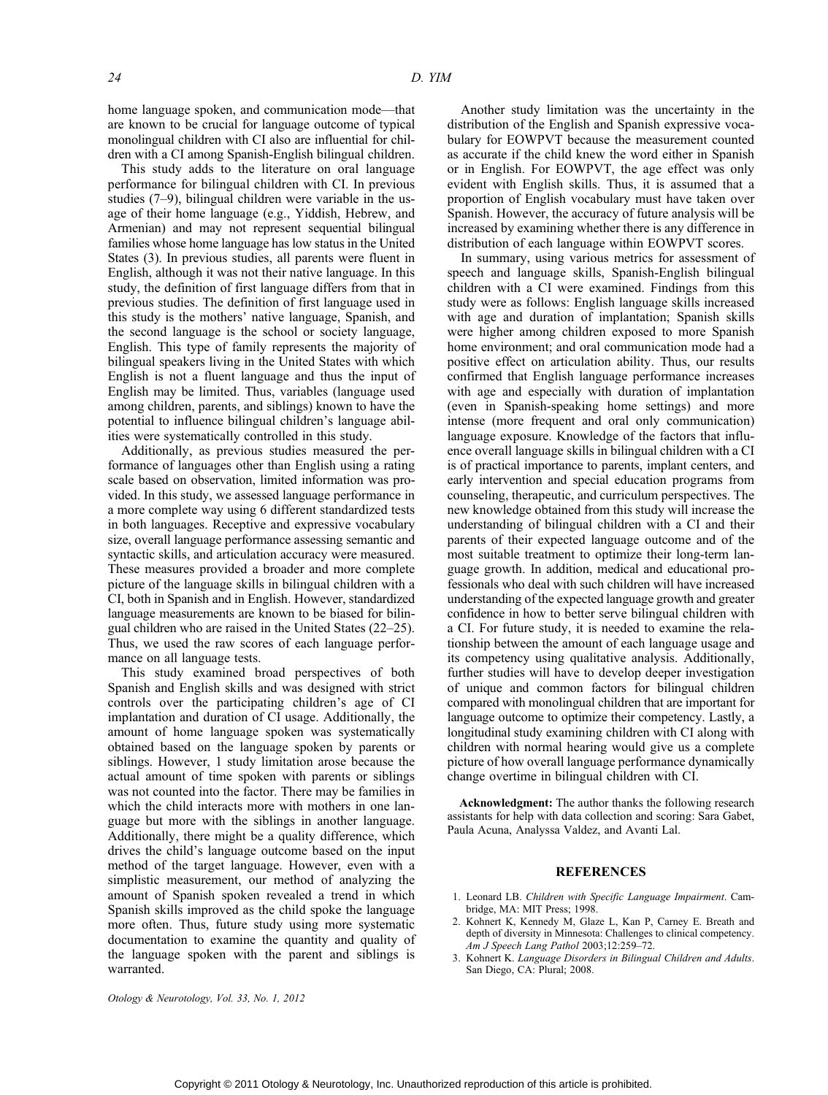24 D. YIM

home language spoken, and communication mode-that are known to be crucial for language outcome of typical monolingual children with CI also are influential for children with a CI among Spanish-English bilingual children.

This study adds to the literature on oral language performance for bilingual children with CI. In previous studies  $(7-9)$ , bilingual children were variable in the usage of their home language (e.g., Yiddish, Hebrew, and Armenian) and may not represent sequential bilingual families whose home language has low status in the United States (3). In previous studies, all parents were fluent in English, although it was not their native language. In this study, the definition of first language differs from that in previous studies. The definition of first language used in this study is the mothers' native language, Spanish, and the second language is the school or society language, English. This type of family represents the majority of bilingual speakers living in the United States with which English is not a fluent language and thus the input of English may be limited. Thus, variables (language used among children, parents, and siblings) known to have the potential to influence bilingual children's language abilities were systematically controlled in this study.

Additionally, as previous studies measured the performance of languages other than English using a rating scale based on observation, limited information was provided. In this study, we assessed language performance in a more complete way using 6 different standardized tests in both languages. Receptive and expressive vocabulary size, overall language performance assessing semantic and syntactic skills, and articulation accuracy were measured. These measures provided a broader and more complete picture of the language skills in bilingual children with a CI, both in Spanish and in English. However, standardized language measurements are known to be biased for bilingual children who are raised in the United States  $(22-25)$ . Thus, we used the raw scores of each language performance on all language tests.

This study examined broad perspectives of both Spanish and English skills and was designed with strict controls over the participating children's age of CI implantation and duration of CI usage. Additionally, the amount of home language spoken was systematically obtained based on the language spoken by parents or siblings. However, 1 study limitation arose because the actual amount of time spoken with parents or siblings was not counted into the factor. There may be families in which the child interacts more with mothers in one language but more with the siblings in another language. Additionally, there might be a quality difference, which drives the child's language outcome based on the input method of the target language. However, even with a simplistic measurement, our method of analyzing the amount of Spanish spoken revealed a trend in which Spanish skills improved as the child spoke the language more often. Thus, future study using more systematic documentation to examine the quantity and quality of the language spoken with the parent and siblings is warranted.

Another study limitation was the uncertainty in the distribution of the English and Spanish expressive vocabulary for EOWPVT because the measurement counted as accurate if the child knew the word either in Spanish or in English. For EOWPVT, the age effect was only evident with English skills. Thus, it is assumed that a proportion of English vocabulary must have taken over Spanish. However, the accuracy of future analysis will be increased by examining whether there is any difference in distribution of each language within EOWPVT scores.

In summary, using various metrics for assessment of speech and language skills, Spanish-English bilingual children with a CI were examined. Findings from this study were as follows: English language skills increased with age and duration of implantation; Spanish skills were higher among children exposed to more Spanish home environment; and oral communication mode had a positive effect on articulation ability. Thus, our results confirmed that English language performance increases with age and especially with duration of implantation (even in Spanish-speaking home settings) and more intense (more frequent and oral only communication) language exposure. Knowledge of the factors that influence overall language skills in bilingual children with a CI is of practical importance to parents, implant centers, and early intervention and special education programs from counseling, therapeutic, and curriculum perspectives. The new knowledge obtained from this study will increase the understanding of bilingual children with a CI and their parents of their expected language outcome and of the most suitable treatment to optimize their long-term language growth. In addition, medical and educational professionals who deal with such children will have increased understanding of the expected language growth and greater confidence in how to better serve bilingual children with a CI. For future study, it is needed to examine the relationship between the amount of each language usage and its competency using qualitative analysis. Additionally, further studies will have to develop deeper investigation of unique and common factors for bilingual children compared with monolingual children that are important for language outcome to optimize their competency. Lastly, a longitudinal study examining children with CI along with children with normal hearing would give us a complete picture of how overall language performance dynamically change overtime in bilingual children with CI.

Acknowledgment: The author thanks the following research assistants for help with data collection and scoring: Sara Gabet, Paula Acuna, Analyssa Valdez, and Avanti Lal.

#### REFERENCES

- 1. Leonard LB. Children with Specific Language Impairment. Cambridge, MA: MIT Press; 1998.
- 2. Kohnert K, Kennedy M, Glaze L, Kan P, Carney E. Breath and depth of diversity in Minnesota: Challenges to clinical competency.  $Am J Speech Lang Pathol 2003;12:259-72.$
- 3. Kohnert K. Language Disorders in Bilingual Children and Adults. San Diego, CA: Plural; 2008.